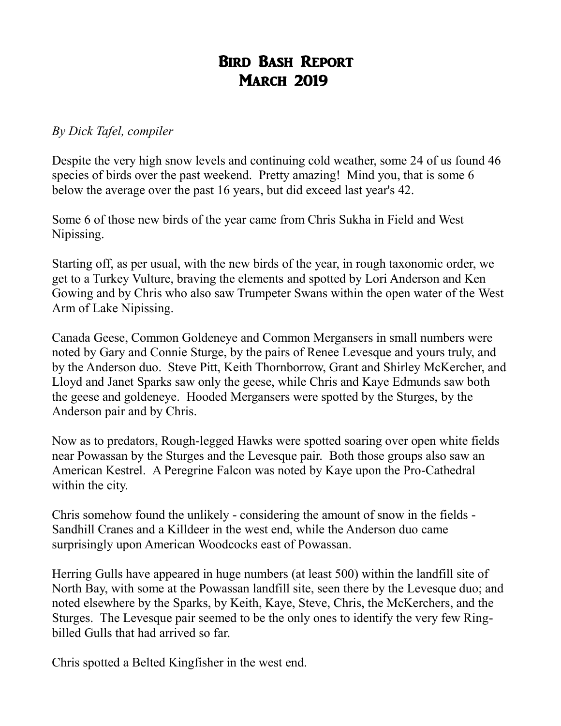## Bird Bash Report **MARCH 2019**

## *By Dick Tafel, compiler*

Despite the very high snow levels and continuing cold weather, some 24 of us found 46 species of birds over the past weekend. Pretty amazing! Mind you, that is some 6 below the average over the past 16 years, but did exceed last year's 42.

Some 6 of those new birds of the year came from Chris Sukha in Field and West Nipissing.

Starting off, as per usual, with the new birds of the year, in rough taxonomic order, we get to a Turkey Vulture, braving the elements and spotted by Lori Anderson and Ken Gowing and by Chris who also saw Trumpeter Swans within the open water of the West Arm of Lake Nipissing.

Canada Geese, Common Goldeneye and Common Mergansers in small numbers were noted by Gary and Connie Sturge, by the pairs of Renee Levesque and yours truly, and by the Anderson duo. Steve Pitt, Keith Thornborrow, Grant and Shirley McKercher, and Lloyd and Janet Sparks saw only the geese, while Chris and Kaye Edmunds saw both the geese and goldeneye. Hooded Mergansers were spotted by the Sturges, by the Anderson pair and by Chris.

Now as to predators, Rough-legged Hawks were spotted soaring over open white fields near Powassan by the Sturges and the Levesque pair. Both those groups also saw an American Kestrel. A Peregrine Falcon was noted by Kaye upon the Pro-Cathedral within the city.

Chris somehow found the unlikely - considering the amount of snow in the fields - Sandhill Cranes and a Killdeer in the west end, while the Anderson duo came surprisingly upon American Woodcocks east of Powassan.

Herring Gulls have appeared in huge numbers (at least 500) within the landfill site of North Bay, with some at the Powassan landfill site, seen there by the Levesque duo; and noted elsewhere by the Sparks, by Keith, Kaye, Steve, Chris, the McKerchers, and the Sturges. The Levesque pair seemed to be the only ones to identify the very few Ringbilled Gulls that had arrived so far.

Chris spotted a Belted Kingfisher in the west end.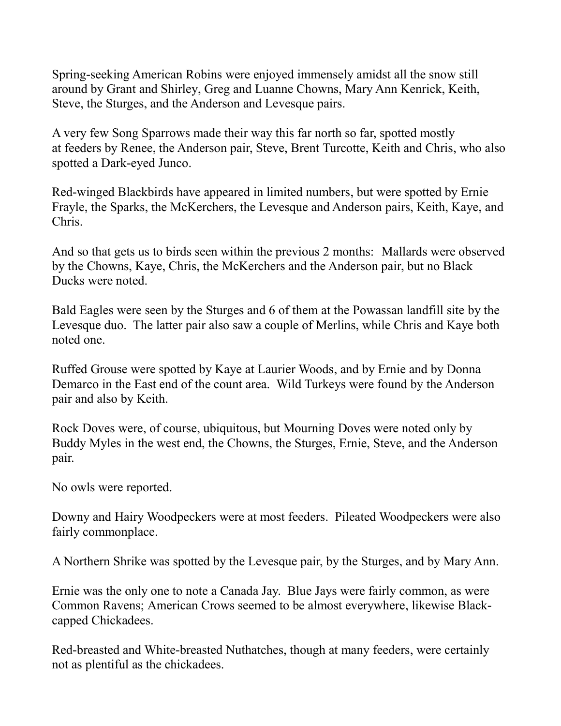Spring-seeking American Robins were enjoyed immensely amidst all the snow still around by Grant and Shirley, Greg and Luanne Chowns, Mary Ann Kenrick, Keith, Steve, the Sturges, and the Anderson and Levesque pairs.

A very few Song Sparrows made their way this far north so far, spotted mostly at feeders by Renee, the Anderson pair, Steve, Brent Turcotte, Keith and Chris, who also spotted a Dark-eyed Junco.

Red-winged Blackbirds have appeared in limited numbers, but were spotted by Ernie Frayle, the Sparks, the McKerchers, the Levesque and Anderson pairs, Keith, Kaye, and Chris.

And so that gets us to birds seen within the previous 2 months: Mallards were observed by the Chowns, Kaye, Chris, the McKerchers and the Anderson pair, but no Black Ducks were noted.

Bald Eagles were seen by the Sturges and 6 of them at the Powassan landfill site by the Levesque duo. The latter pair also saw a couple of Merlins, while Chris and Kaye both noted one.

Ruffed Grouse were spotted by Kaye at Laurier Woods, and by Ernie and by Donna Demarco in the East end of the count area. Wild Turkeys were found by the Anderson pair and also by Keith.

Rock Doves were, of course, ubiquitous, but Mourning Doves were noted only by Buddy Myles in the west end, the Chowns, the Sturges, Ernie, Steve, and the Anderson pair.

No owls were reported.

Downy and Hairy Woodpeckers were at most feeders. Pileated Woodpeckers were also fairly commonplace.

A Northern Shrike was spotted by the Levesque pair, by the Sturges, and by Mary Ann.

Ernie was the only one to note a Canada Jay. Blue Jays were fairly common, as were Common Ravens; American Crows seemed to be almost everywhere, likewise Blackcapped Chickadees.

Red-breasted and White-breasted Nuthatches, though at many feeders, were certainly not as plentiful as the chickadees.